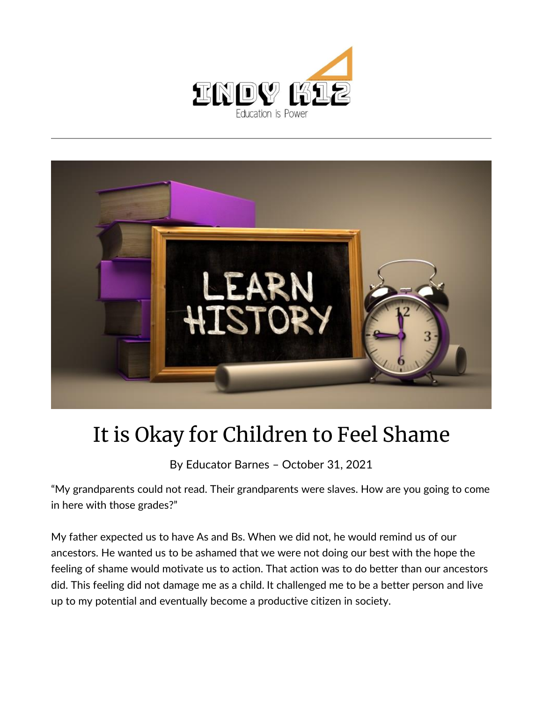



## It is Okay for Children to Feel Shame

By [Educator Barnes](https://indy.education/author/shicole/) – October 31, 2021

"My grandparents could not read. Their grandparents were slaves. How are you going to come in here with those grades?"

My father expected us to have As and Bs. When we did not, he would remind us of our ancestors. He wanted us to be ashamed that we were not doing our best with the hope the feeling of shame would motivate us to action. That action was to do better than our ancestors did. This feeling did not damage me as a child. It challenged me to be a better person and live up to my potential and eventually become a productive citizen in society.